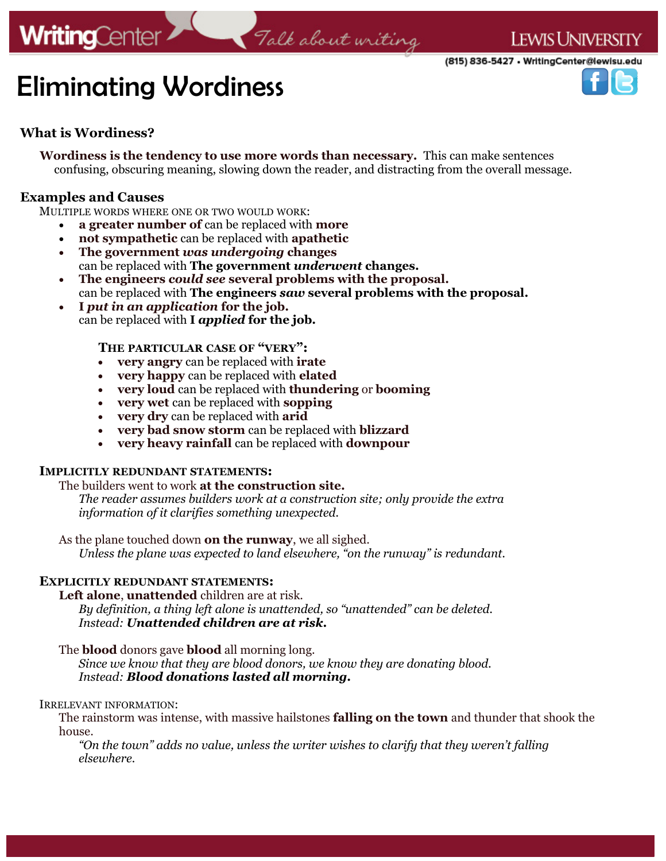# **WritingCenter**

## Talk about writing

## (815) 836-5427 • WritingCenter@lewisu.edu



# Eliminating Wordiness

### **What is Wordiness?**

**Wordiness is the tendency to use more words than necessary.** This can make sentences confusing, obscuring meaning, slowing down the reader, and distracting from the overall message.

#### **Examples and Causes**

MULTIPLE WORDS WHERE ONE OR TWO WOULD WORK:

- **a greater number of** can be replaced with **more**
- **not sympathetic** can be replaced with **apathetic**
- **The government** *was undergoing* **changes** can be replaced with **The government** *underwent* **changes.**
- **The engineers** *could see* **several problems with the proposal.** can be replaced with **The engineers** *saw* **several problems with the proposal***.*
- **I** *put in an application* **for the job.** can be replaced with **I** *applied* **for the job.**

#### **THE PARTICULAR CASE OF "VERY":**

- **very angry** can be replaced with **irate**
- **very happy** can be replaced with **elated**
- **very loud** can be replaced with **thundering** or **booming**
- **very wet** can be replaced with **sopping**
- **very dry** can be replaced with **arid**
- **very bad snow storm** can be replaced with **blizzard**
- **very heavy rainfall** can be replaced with **downpour**

#### **IMPLICITLY REDUNDANT STATEMENTS:**

The builders went to work **at the construction site.**

*The reader assumes builders work at a construction site; only provide the extra information of it clarifies something unexpected.*

As the plane touched down **on the runway**, we all sighed. *Unless the plane was expected to land elsewhere, "on the runway" is redundant.* 

#### **EXPLICITLY REDUNDANT STATEMENTS:**

**Left alone**, **unattended** children are at risk.

*By definition, a thing left alone is unattended, so "unattended" can be deleted. Instead: Unattended children are at risk.*

The **blood** donors gave **blood** all morning long.

*Since we know that they are blood donors, we know they are donating blood. Instead: Blood donations lasted all morning.*

#### IRRELEVANT INFORMATION:

The rainstorm was intense, with massive hailstones **falling on the town** and thunder that shook the house.

*"On the town" adds no value, unless the writer wishes to clarify that they weren't falling elsewhere.*